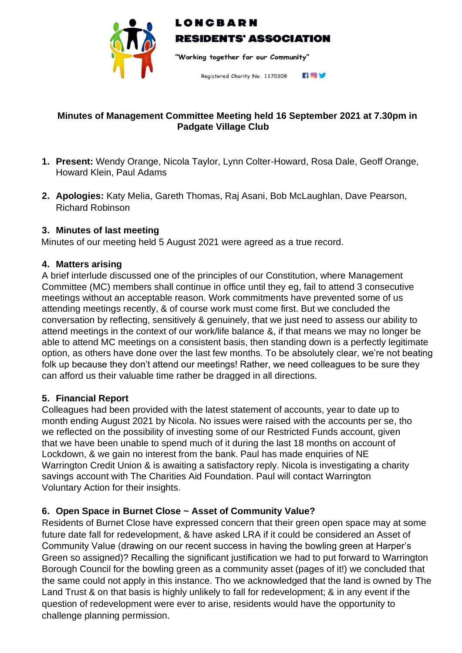

# LONCBARN **RESIDENTS' ASSOCIATION**

"Working together for our Community"

HOV Registered Charity No. 1170309

## **Minutes of Management Committee Meeting held 16 September 2021 at 7.30pm in Padgate Village Club**

- **1. Present:** Wendy Orange, Nicola Taylor, Lynn Colter-Howard, Rosa Dale, Geoff Orange, Howard Klein, Paul Adams
- **2. Apologies:** Katy Melia, Gareth Thomas, Raj Asani, Bob McLaughlan, Dave Pearson, Richard Robinson

### **3. Minutes of last meeting**

Minutes of our meeting held 5 August 2021 were agreed as a true record.

#### **4. Matters arising**

A brief interlude discussed one of the principles of our Constitution, where Management Committee (MC) members shall continue in office until they eg, fail to attend 3 consecutive meetings without an acceptable reason. Work commitments have prevented some of us attending meetings recently, & of course work must come first. But we concluded the conversation by reflecting, sensitively & genuinely, that we just need to assess our ability to attend meetings in the context of our work/life balance &, if that means we may no longer be able to attend MC meetings on a consistent basis, then standing down is a perfectly legitimate option, as others have done over the last few months. To be absolutely clear, we're not beating folk up because they don't attend our meetings! Rather, we need colleagues to be sure they can afford us their valuable time rather be dragged in all directions.

#### **5. Financial Report**

Colleagues had been provided with the latest statement of accounts, year to date up to month ending August 2021 by Nicola. No issues were raised with the accounts per se, tho we reflected on the possibility of investing some of our Restricted Funds account, given that we have been unable to spend much of it during the last 18 months on account of Lockdown, & we gain no interest from the bank. Paul has made enquiries of NE Warrington Credit Union & is awaiting a satisfactory reply. Nicola is investigating a charity savings account with The Charities Aid Foundation. Paul will contact Warrington Voluntary Action for their insights.

#### **6. Open Space in Burnet Close ~ Asset of Community Value?**

Residents of Burnet Close have expressed concern that their green open space may at some future date fall for redevelopment, & have asked LRA if it could be considered an Asset of Community Value (drawing on our recent success in having the bowling green at Harper's Green so assigned)? Recalling the significant justification we had to put forward to Warrington Borough Council for the bowling green as a community asset (pages of it!) we concluded that the same could not apply in this instance. Tho we acknowledged that the land is owned by The Land Trust & on that basis is highly unlikely to fall for redevelopment; & in any event if the question of redevelopment were ever to arise, residents would have the opportunity to challenge planning permission.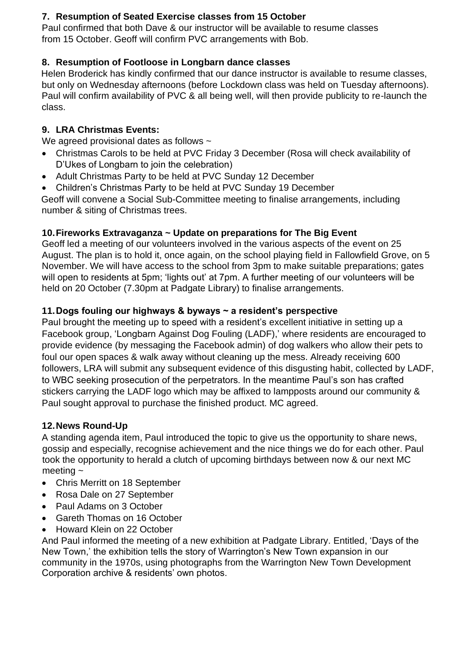## **7. Resumption of Seated Exercise classes from 15 October**

Paul confirmed that both Dave & our instructor will be available to resume classes from 15 October. Geoff will confirm PVC arrangements with Bob.

# **8. Resumption of Footloose in Longbarn dance classes**

Helen Broderick has kindly confirmed that our dance instructor is available to resume classes, but only on Wednesday afternoons (before Lockdown class was held on Tuesday afternoons). Paul will confirm availability of PVC & all being well, will then provide publicity to re-launch the class.

# **9. LRA Christmas Events:**

We agreed provisional dates as follows  $\sim$ 

- Christmas Carols to be held at PVC Friday 3 December (Rosa will check availability of D'Ukes of Longbarn to join the celebration)
- Adult Christmas Party to be held at PVC Sunday 12 December
- Children's Christmas Party to be held at PVC Sunday 19 December

Geoff will convene a Social Sub-Committee meeting to finalise arrangements, including number & siting of Christmas trees.

# **10.Fireworks Extravaganza ~ Update on preparations for The Big Event**

Geoff led a meeting of our volunteers involved in the various aspects of the event on 25 August. The plan is to hold it, once again, on the school playing field in Fallowfield Grove, on 5 November. We will have access to the school from 3pm to make suitable preparations; gates will open to residents at 5pm; 'lights out' at 7pm. A further meeting of our volunteers will be held on 20 October (7.30pm at Padgate Library) to finalise arrangements.

# **11.Dogs fouling our highways & byways ~ a resident's perspective**

Paul brought the meeting up to speed with a resident's excellent initiative in setting up a Facebook group, 'Longbarn Against Dog Fouling (LADF),' where residents are encouraged to provide evidence (by messaging the Facebook admin) of dog walkers who allow their pets to foul our open spaces & walk away without cleaning up the mess. Already receiving 600 followers, LRA will submit any subsequent evidence of this disgusting habit, collected by LADF, to WBC seeking prosecution of the perpetrators. In the meantime Paul's son has crafted stickers carrying the LADF logo which may be affixed to lampposts around our community & Paul sought approval to purchase the finished product. MC agreed.

## **12.News Round-Up**

A standing agenda item, Paul introduced the topic to give us the opportunity to share news, gossip and especially, recognise achievement and the nice things we do for each other. Paul took the opportunity to herald a clutch of upcoming birthdays between now & our next MC meeting  $\sim$ 

- Chris Merritt on 18 September
- Rosa Dale on 27 September
- Paul Adams on 3 October
- Gareth Thomas on 16 October
- Howard Klein on 22 October

And Paul informed the meeting of a new exhibition at Padgate Library. Entitled, 'Days of the New Town,' the exhibition tells the story of Warrington's New Town expansion in our community in the 1970s, using photographs from the Warrington New Town Development Corporation archive & residents' own photos.